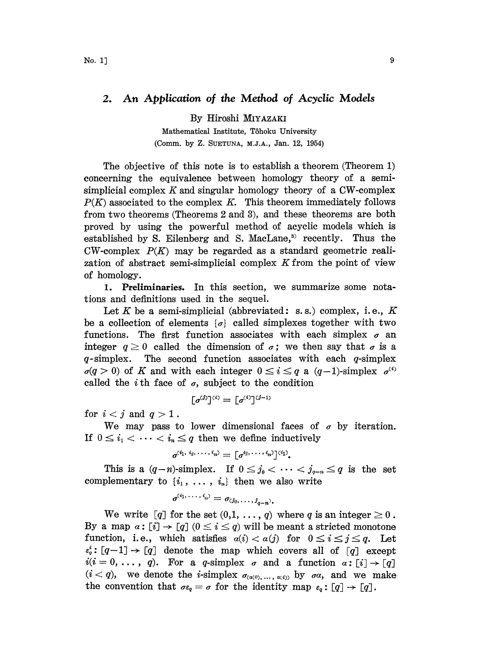# 2. An Application of the Method of Acyclic Models

By Hiroshi

Mathematical Institute, Tôhoku University (Comm. by Z. SUETUNA, M.J.A., Jan. 12, 1954)

The objective of this note is to establish a theorem (Theorem 1) concerning the equivalence between homology theory of a semisimplicial complex  $K$  and singular homology theory of a CW-complex  $P(K)$  associated to the complex K. This theorem immediately follows from two theorems (Theorems 2 and 3), and these theorems are both proved by using the powerful method of acyclic models which is established by S. Eilenberg and S. MacLane,<sup>3</sup> recently. Thus the  $CW$ -complex  $P(K)$  may be regarded as a standard geometric realization of abstract semi-simplicial complex  $K$  from the point of view of homology.

1. Preliminaries. In this section, we summarize some notations and definitions used in the sequel.

Let K be a semi-simplicial (abbreviated: s.s.) complex, i.e., K be a collection of elements  $\{\sigma\}$  called simplexes together with two functions. The first function associates with each simplex  $\sigma$  an integer  $q \geq 0$  called the dimension of  $q \in \mathcal{C}$ ; we then say that  $q \in \mathcal{C}$  is a  $q$ -simplex. The second function associates with each  $q$ -simplex  $\sigma(q > 0)$  of K and with each integer  $0 \leq i \leq q$  a  $(q-1)$ -simplex  $\sigma^{(i)}$ called the *i*th face of  $\sigma$ , subject to the condition

$$
[\sigma^{(j)}]^{(i)} = [\sigma^{(i)}]^{(j-1)}
$$

for  $i < j$  and  $q > 1$ .

We may pass to lower dimensional faces of  $\sigma$  by iteration. If  $0 \leq i_1 < \cdots < i_n \leq q$  then we define inductively

$$
\sigma^{(i_1, i_2, \ldots, i_n)} = \lceil \sigma^{i_2, \ldots, i_n} \rceil^{(i_1)}.
$$

This is a  $(q-n)$ -simplex. If  $0 \leq j_0 < \cdots < j_{q-n} \leq q$  is the set complementary to  $\{i_1, \ldots, i_n\}$  then we also write

$$
\sigma^{(i_1,\ldots,i_n)}=\sigma_{(j_0,\ldots,j_{n-n})}.
$$

We write  $[q]$  for the set  $(0,1, \ldots, q)$  where q is an integer  $\geq 0$ . By a map  $a: [i] \to [q]$   $(0 \le i \le q)$  will be meant a stricted monotone function, i.e., which satisfies  $a(i) < a(j)$  for  $0 \le i \le j \le q$ . Let  $\epsilon_q^i : [q-1] \to [q]$  denote the map which covers all of  $[q]$  except  $i(i=0,\ldots, q)$ . For a q-simplex  $\sigma$  and a function  $\alpha : [i] \rightarrow [q]$  $(i < q)$ , we denote the *i*-simplex  $\sigma_{(\alpha(0), \ldots, \alpha(i))}$  by  $\sigma \alpha$ , and we make the convention that  $\sigma \epsilon_q = \sigma$  for the identity map  $\epsilon_q : [q] \to [q]$ .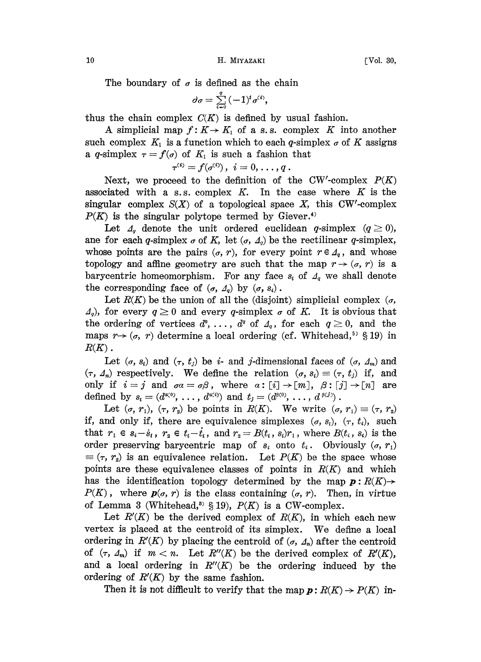10 H. MIYAZAKI [Vol. 30,

The boundary of  $\sigma$  is defined as the chain

$$
\sigma = \sum_{i=0}^q (-1)^i \sigma^{(i)},
$$

thus the chain complex  $C(K)$  is defined by usual fashion.

A simplicial map  $f: K \to K_1$  of a s.s. complex K into another such complex  $K_1$  is a function which to each q-simplex  $\sigma$  of K assigns a q-simplex  $\tau = f(\sigma)$  of  $K_1$  is such a fashion that

$$
\tau^{(i)} = f(\sigma^{(i)}), \, \, i = 0, \ldots, q \, .
$$

Next, we proceed to the definition of the CW'-complex  $P(K)$ associated with a s.s. complex  $K$ . In the case where  $K$  is the singular complex  $S(X)$  of a topological space X, this CW'-complex  $P(K)$  is the singular polytope termed by Giever.<sup>4)</sup>

Let  $\Lambda_q$  denote the unit ordered euclidean q-simplex  $(q \ge 0)$ , ane for each q-simplex  $\sigma$  of K, let  $(\sigma, \Delta_q)$  be the rectilinear q-simplex, whose points are the pairs  $(\sigma, r)$ , for every point  $r \in A_q$ , and whose topology and affine geometry are such that the map  $r \rightarrow (\sigma, r)$  is a barycentric homeomorphism. For any face  $s_i$  of  $\mathcal{A}_q$  we shall denote the corresponding face of  $(\sigma, \Delta_q)$  by  $(\sigma, s_i)$ .

Let  $R(K)$  be the union of all the (disjoint) simplicial complex ( $\sigma$ ,  $\mathcal{A}_q$ , for every  $q \geq 0$  and every q-simplex  $\sigma$  of K. It is obvious that the ordering of vertices  $d^0, \ldots, d^q$  of  $\Delta_q$ , for each  $q \geq 0$ , and the maps  $r \rightarrow (\sigma, r)$  determine a local ordering (cf. Whitehead,<sup>5)</sup> § 19) in  $R(K)$  .

Let  $(a, s_i)$  and  $(\tau, t_i)$  be i- and j-dimensional faces of  $(a, \Delta_m)$  and  $(\tau, \Delta_n)$  respectively. We define the relation  $(\sigma, s_i) \equiv (\tau, t_j)$  if, and only if  $i=j$  and  $\sigma\alpha=\sigma\beta$ , where  $\alpha:[i]\rightarrow[m], \beta:[j]\rightarrow[n]$  are defined by  $s_i = (d^{\alpha(s)}, \ldots, d^{\alpha(s)})$  and  $t_j = (d^{\beta(0)}, \ldots, d^{\beta(j)})$ .

Let  $(\sigma, r_1)$ ,  $(\tau, r_2)$  be points in  $R(K)$ . We write  $(\sigma, r_1) \equiv (\tau, r_2)$ if, and only if, there are equivalence simplexes  $(\sigma, s_i)$ ,  $(\tau, t_i)$ , such that  $r_1 \in s_i - s_i$ ,  $r_2 \in t_i - t_i$ , and  $r_2 = B(t_i, s_i)r_1$ , where  $B(t_i, s_i)$  is the order preserving barycentric map of  $s_i$  onto  $t_i$ . Obviously  $(\sigma, r_1)$  $=(\tau, r_2)$  is an equivalence relation. Let  $P(K)$  be the space whose points are these equivalence classes of points in  $R(K)$  and which has the identification topology determined by the map  $p: R(K) \rightarrow$  $P(K)$ , where  $p(\sigma, r)$  is the class containing  $(\sigma, r)$ . Then, in virtue of Lemma 3 (Whitehead,<sup>5)</sup> § 19),  $P(K)$  is a CW-complex.

Let  $R(K)$  be the derived complex of  $R(K)$ , in which each new vertex is placed at the centroid of its simplex. We define <sup>a</sup> local ordering in  $R'(K)$  by placing the centroid of  $(\sigma, \Delta_n)$  after the centroid of  $(\tau, \Delta_m)$  if  $m < n$ . Let  $R''(K)$  be the derived complex of  $R'(K)$ , and a local ordering in  $R''(K)$  be the ordering induced by the ordering of  $R(K)$  by the same fashion.

Then it is not difficult to verify that the map  $p: R(K) \to P(K)$  in-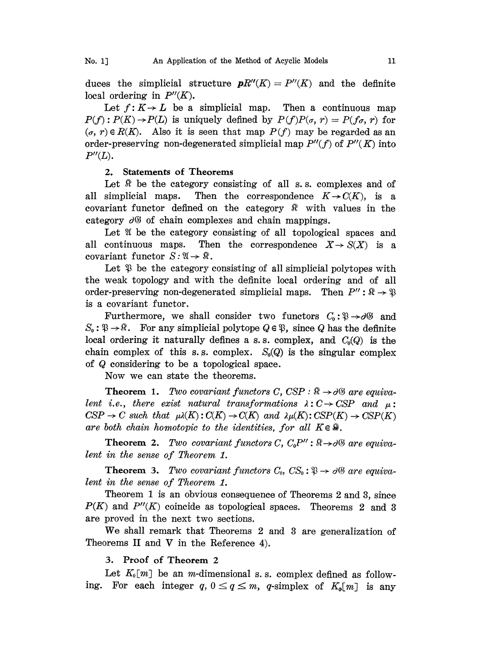duces the simplicial structure  $\mathbf{p}R''(K)=P''(K)$  and the definite local ordering in  $P''(K)$ .

Let  $f: K \to L$  be a simplicial map. Then a continuous map  $P(f): P(K) \to P(L)$  is uniquely defined by  $P(f)P(\sigma, r)= P(f\sigma, r)$  for  $(\sigma, r) \in R(K)$ . Also it is seen that map  $P(f)$  may be regarded as an order-preserving non-degenerated simplicial map  $P''(f)$  of  $P''(K)$  into  $P''(L)$ .

### 2. Statements of Theorems

Let  $\Re$  be the category consisting of all s.s. complexes and of all simplicial maps. Then the correspondence  $K \rightarrow C(K)$ , is a covariant functor defined on the category  $\Re$  with values in the category  $\partial\mathcal{G}$  of chain complexes and chain mappings.

Let  $\mathfrak A$  be the category consisting of all topological spaces and all continuous maps. Then the correspondence  $X \to S(X)$  is a covariant functor  $S: \mathfrak{A} \to \mathfrak{R}$ .

Let  $\mathcal{P}$  be the category consisting of all simplicial polytopes with the weak topology and with the definite local ordering and of all order-preserving non-degenerated simplicial maps. Then  $P'' : \mathbb{R} \to \mathbb{R}$ is a covariant functor.

Furthermore, we shall consider two functors  $C_0: \mathcal{D} \rightarrow \partial \mathcal{D}$  and  $S_0: \mathfrak{B} \to \mathfrak{R}$ . For any simplicial polytope  $Q \in \mathfrak{B}$ , since Q has the definite local ordering it naturally defines a s.s. complex, and  $C_0(Q)$  is the chain complex of this s.s. complex.  $S_0(Q)$  is the singular complex of Q considering to be <sup>a</sup> topological space.

Now we can state the theorems.

**Theorem 1.** Two covariant functors C,  $CSP : \mathbb{R} \rightarrow \partial\mathbb{S}$  are equivalent i.e., there exist natural transformations  $\lambda: C \to CSP$  and  $\mu$ :  $CSP \rightarrow C$  such that  $\mu\lambda(K): C(K) \rightarrow C(K)$  and  $\lambda\mu(K): CSP(K) \rightarrow CSP(K)$ <br>are both chain homotopic to the identities, for all  $K \in \mathbb{R}$ . are both chain homotopic to the identities, for all  $K \in \mathbb{R}$ .

**Theorem 2.** Two covariant functors C,  $C_0P''$ :  $\mathbb{R} \rightarrow \partial \mathbb{S}$  are equivalent in the sense of Theorem 1.

**Theorem 3.** Two covariant functors  $C_0$ ,  $CS_0: \mathcal{D} \rightarrow \mathcal{A} \mathcal{B}$  are equivalent in the sense of Theorem 1.

Theorem <sup>1</sup> is an obvious consequence of Theorems 2 and 3, since  $P(K)$  and  $P''(K)$  coincide as topological spaces. Theorems 2 and 3 are proved in the next two sections.

We shall remark that Theorems <sup>2</sup> and <sup>3</sup> are generalization of Theorems II and V in the Reference 4).

## 3. Proof of Theorem 2

Let  $K_0[m]$  be an m-dimensional s.s. complex defined as following. For each integer q,  $0 \le q \le m$ , q-simplex of  $K_0[m]$  is any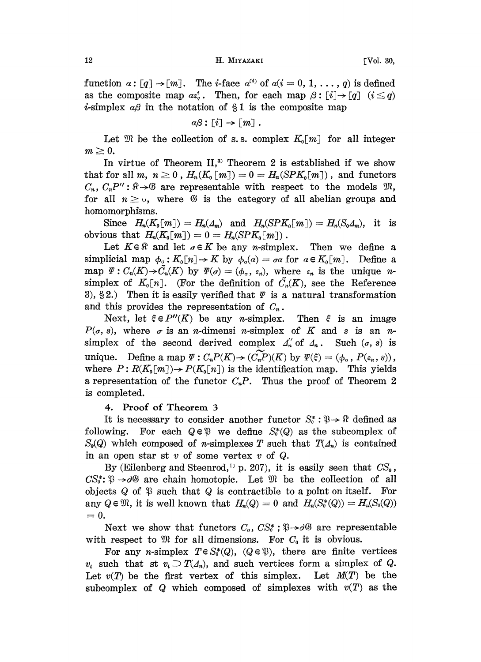#### 12 **H. MIYAZAKI** FVol. 30,

function  $\alpha: [q] \to [m]$ . The *i*-face  $\alpha^{(i)}$  of  $\alpha(i = 0, 1, ..., q)$  is defined as the composite map  $a \epsilon_a^i$ . Then, for each map  $\beta : [i] \rightarrow [q]$   $(i \leq q)$ *i*-simplex  $\alpha\beta$  in the notation of §1 is the composite map

$$
\alpha\beta\colon [\,i]\to [\,m]\ .
$$

Let  $\mathfrak{M}$  be the collection of s.s. complex  $K_0[m]$  for all integer  $m \geq 0$ .

In virtue of Theorem  $II$ ,<sup>3)</sup> Theorem 2 is established if we show that for all m,  $n \geq 0$ ,  $H_n(K_0[m]) = 0 = H_n(SPK_0[m])$ , and functors  $C_n$ ,  $C_nP''$ :  $\mathbb{R} \rightarrow \mathbb{G}$  are representable with respect to the models  $\mathfrak{M}$ , for all  $n \geq 0$ , where  $\emptyset$  is the category of all abelian groups and homomorphisms.

Since  $H_n(K_0[m]) = H_n(\Lambda_m)$  and  $H_n(SPK_0[m]) = H_n(S_0\Lambda_m)$ , it is obvious that  $H_n(K_0[m]) = 0 = H_n(SPK_0[m])$ .

Let  $K \in \mathbb{R}$  and let  $\sigma \in K$  be any *n*-simplex. Then we define a simplicial map  $\phi_{\sigma} : K_0[n] \to K$  by  $\phi_{\sigma}(\alpha) = \sigma \alpha$  for  $\alpha \in K_0[m]$ . Define a  $\phi_{\sigma} : K_0[n] \to K$  by  $\phi_{\sigma}(\alpha) = \sigma \alpha$  for  $\alpha \in K_0[m]$ . Define a<br>  $\tilde{C}_n(K)$  by  $\Psi(\sigma) = (\phi_{\sigma}, \varepsilon_n)$ , where  $\varepsilon_n$  is the unique *n*-<br>  $n$ ]. (For the definition of  $\tilde{C}_n(K)$ , see the Reference<br>
t is easily verified that map  $\Psi: C_n(K) \to \widetilde{C}_n(K)$  by  $\Psi(\sigma) = (\phi_{\sigma}, \varepsilon_n)$ , where  $\varepsilon_n$  is the unique nsimplex of  $K_0[n]$ . (For the definition of  $\tilde{C}_n(K)$ , see the Reference 3), §2.) Then it is easily verified that  $\varPsi$  is a natural transformation and this provides the representation of  $C_n$ .

Next, let  $\xi \in P''(K)$  be any n-simplex. Then  $\xi$  is an image  $P(\sigma, s)$ , where  $\sigma$  is an *n*-dimensi *n*-simplex of K and s is an *n*simplex of the second derived complex  $A_n''$  of  $A_n$ . Such  $(\sigma, s)$  is unique. Define a map  $\Psi: C_n P(K) \to (C_n P)(K)$  by  $\Psi(\xi) = (\phi_{\sigma}, P(\varepsilon_n, s)),$ <br>where  $P: R(K_0[m]) \to P(K_0[n])$  is the identification map. This yields where  $P: R(K_0[m]) \to P(K_0[n])$  is the identification map. This yields a representation of the functor  $C_nP$ . Thus the proof of Theorem 2 is completed.

## 4. Proof of Theorem

It is necessary to consider another functor  $S_0^* : \mathcal{P} \to \mathcal{P}$  defined as following. For each  $Q \in \mathcal{P}$  we define  $S^*(Q)$  as the subcomplex of  $S_0(Q)$  which composed of *n*-simplexes T such that  $T(\Lambda_n)$  is contained in an open star st  $v$  of some vertex  $v$  of  $Q$ .

By (Eilenberg and Steenrod,<sup>1)</sup> p. 207), it is easily seen that  $CS_0$ ,  $CS_0^*$ :  $\mathfrak{P} \rightarrow \partial \mathfrak{G}$  are chain homotopic. Let  $\mathfrak{M}$  be the collection of all objects  $Q$  of  $\mathfrak P$  such that  $Q$  is contractible to a point on itself. For any  $Q \in \mathfrak{M}$ , it is well known that  $H_n(Q) = 0$  and  $H_n(S_0^*(Q)) = H_n(S_0(Q))$  $=0.$ 

Next we show that functors  $C_0$ ,  $CS_0^*$ ;  $\mathfrak{P} \rightarrow \partial \mathfrak{G}$  are representable with respect to  $\mathfrak{M}$  for all dimensions. For  $C_0$  it is obvious.

For any *n*-simplex  $T \in S_0^*(Q)$ ,  $(Q \in \mathfrak{P})$ , there are finite vertices  $v_i$  such that st  $v_i \supset T(\Lambda_n)$ , and such vertices form a simplex of Q. Let  $v(T)$  be the first vertex of this simplex. Let  $M(T)$  be the subcomplex of Q which composed of simplexes with  $v(T)$  as the